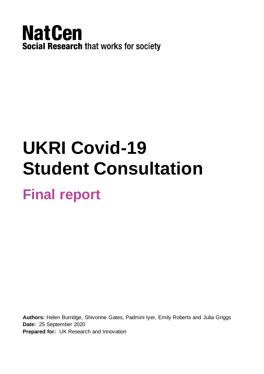

# **UKRI Covid-19 Student Consultation Final report**

**Authors:** Helen Burridge, Shivonne Gates, Padmini Iyer, Emily Roberts and Julia Griggs **Date:** 25 September 2020 **Prepared for:** UK Research and Innovation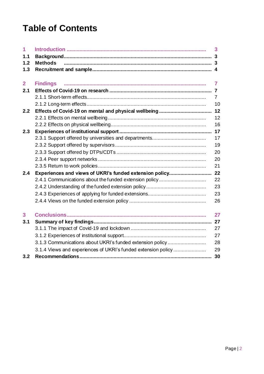# **Table of Contents**

| 1              |                                                               | 3              |
|----------------|---------------------------------------------------------------|----------------|
| 1.1            |                                                               |                |
| 1.2            | <b>Methods</b>                                                |                |
| 1.3            |                                                               |                |
| $\overline{2}$ | <b>Findings</b>                                               | 7              |
| 2.1            |                                                               |                |
|                |                                                               | $\overline{7}$ |
|                |                                                               | 10             |
| 2.2            |                                                               | 12             |
|                |                                                               | 12             |
|                |                                                               | 16             |
| 2.3            |                                                               | 17             |
|                |                                                               | 17             |
|                |                                                               | 19             |
|                |                                                               | 20             |
|                |                                                               | 20             |
|                |                                                               | 21             |
| 2.4            | Experiences and views of UKRI's funded extension policy       | 22             |
|                | 2.4.1 Communications about the funded extension policy        | 22             |
|                |                                                               | 23             |
|                |                                                               | 23             |
|                |                                                               | 26             |
| 3              |                                                               | 27             |
| 3.1            |                                                               | 27             |
|                |                                                               | 27             |
|                |                                                               | 27             |
|                | 3.1.3 Communications about UKRI's funded extension policy     | 28             |
|                | 3.1.4 Views and experiences of UKRI's funded extension policy | 29             |
| 3.2            |                                                               | 30             |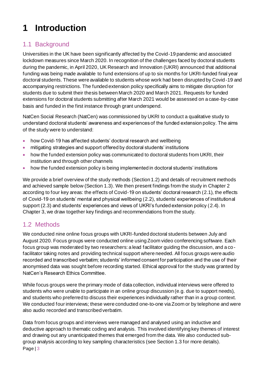# <span id="page-2-0"></span>**1 Introduction**

# <span id="page-2-1"></span>1.1 Background

Universities in the UK have been significantly affected by the Covid-19 pandemic and associated lockdown measures since March 2020. In recognition of the challenges faced by doctoral students during the pandemic, in April 2020, UK Research and Innovation (UKRI) announced that additional funding was being made available to fund extensions of up to six months for UKRI-funded final year doctoral students. These were available to students whose work had been disrupted by Covid-19 and accompanying restrictions. The funded extension policy specifically aims to mitigate disruption for students due to submit their thesis between March 2020 and March 2021. Requests for funded extensions for doctoral students submitting after March 2021 would be assessed on a case-by-case basis and funded in the first instance through grant underspend.

NatCen Social Research (NatCen) was commissioned by UKRI to conduct a qualitative study to understand doctoral students' awareness and experiences of the funded extension policy. The aims of the study were to understand:

- how Covid-19 has affected students' doctoral research and wellbeing
- mitigating strategies and support offered by doctoral students' institutions
- how the funded extension policy was communicated to doctoral students from UKRI, their institution and through other channels
- how the funded extension policy is being implemented in doctoral students' institutions

We provide a brief overview of the study methods (Section 1.2) and details of recruitment methods and achieved sample below (Section 1.3). We then present findings from the study in Chapter 2 according to four key areas: the effects of Covid-19 on students' doctoral research (2.1), the effects of Covid-19 on students' mental and physical wellbeing (2.2), students' experiences of institutional support (2.3) and students' experiences and views of UKRI's funded extension policy (2.4). In Chapter 3, we draw together key findings and recommendations from the study.

# <span id="page-2-2"></span>1.2 Methods

We conducted nine online focus groups with UKRI-funded doctoral students between July and August 2020. Focus groups were conducted online using Zoom video conferencing software. Each focus group was moderated by two researchers: a lead facilitator guiding the discussion, and a co facilitator taking notes and providing technical support where needed. All focus groups were audio recorded and transcribed verbatim; students' informed consent for participation and the use of their anonymised data was sought before recording started. Ethical approval for the study was granted by NatCen's Research Ethics Committee.

While focus groups were the primary mode of data collection, individual interviews were offered to students who were unable to participate in an online group discussion (e.g. due to support needs), and students who preferred to discuss their experiences individually rather than in a group context. We conducted four interviews; these were conducted one-to-one via Zoom or by telephone and were also audio recorded and transcribed verbatim.

Page | 3 Data from focus groups and interviews were managed and analysed using an inductive and deductive approach to thematic coding and analysis. This involved identifying key themes of interest and drawing out any unanticipated themes that emerged from the data. We also conducted subgroup analysis according to key sampling characteristics (see Section 1.3 for more details).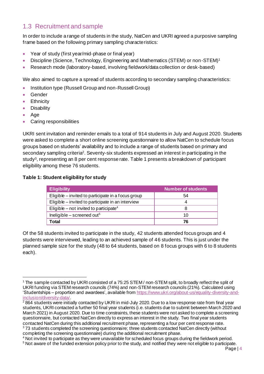### <span id="page-3-0"></span>1.3 Recruitment and sample

In order to include a range of students in the study, NatCen and UKRI agreed a purposive sampling frame based on the following primary sampling characteristics:

- Year of study (first year/mid-phase or final year)
- Discipline (Science, Technology, Engineering and Mathematics (STEM) or non-STEM)<sup>1</sup>
- Research mode (laboratory-based, involving fieldwork/data collection or desk-based)

We also aimed to capture a spread of students according to secondary sampling characteristics:

- Institution type (Russell Group and non-Russell Group)
- **Gender**
- Ethnicity
- **Disability**
- Age
- Caring responsibilities

UKRI sent invitation and reminder emails to a total of 914 students in July and August 2020. Students were asked to complete a short online screening questionnaire to allow NatCen to schedule focus groups based on students' availability and to include a range of students based on primary and secondary sampling criteria<sup>2</sup>. Seventy-six students expressed an interest in participating in the study<sup>3</sup>, representing an 8 per cent response rate[. Table 1](#page-3-1) presents a breakdown of participant eligibility among these 76 students.

#### <span id="page-3-1"></span>**Table 1: Student eligibility for study**

| <b>Eligibility</b>                                 | <b>Number of students</b> |
|----------------------------------------------------|---------------------------|
| Eligible – invited to participate in a focus group | 54                        |
| Eligible – invited to participate in an interview  |                           |
| Eligible – not invited to participate <sup>4</sup> |                           |
| Ineligible – screened out <sup>5</sup>             | 10                        |
| Total                                              | 76                        |

Of the 58 students invited to participate in the study, 42 students attended focus groups and 4 students were interviewed, leading to an achieved sample of 46 students. This is just under the planned sample size for the study (48 to 64 students, based on 8 focus groups with 6 to 8 students each).

<sup>&</sup>lt;sup>1</sup> The sample contacted by UKRI consisted of a 75:25 STEM / non-STEM split, to broadly reflect the split of UKRI funding via STEM research councils (74%) and non-STEM research councils (21%). Calculated using 'Studentships – proportion and awardees', available fro[m https://www.ukri.org/about-us/equality-diversity-and](https://www.ukri.org/about-us/equality-diversity-and-inclusion/diversity-data/)[inclusion/diversity-data/](https://www.ukri.org/about-us/equality-diversity-and-inclusion/diversity-data/).

 $\sqrt[2]{2864}$  students were initially contacted by UKRI in mid-July 2020. Due to a low response rate from final year students, UKRI contacted a further 50 final year students (i.e. students due to submit between March 2020 and March 2021) in August 2020. Due to time constraints, these students were not asked to complete a screening questionnaire, but contacted NatCen directly to express an interest in the study. Two final year students contacted NatCen during this additional recruitment phase, representing a four per cent response rate. <sup>3</sup>73 students completed the screening questionnaire; three students contacted NatCen directly (without completing the screening questionnaire) during the additional recruitment phase.

<sup>4</sup> Not invited to participate as they were unavailable for scheduled focus groups during the fieldwork period.

<sup>5</sup> Not aware of the funded extension policy prior to the study, and notified they were not eligible to participate.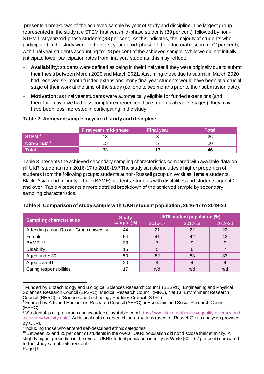presents a breakdown of the achieved sample by year of study and discipline. The largest group represented in the study are STEM first year/mid-phase students (39 per cent), followed by non-STEM first year/mid-phase students (33 per cent). As this indicates, the majority of students who participated in the study were in their first year or mid-phase of their doctoral research (72 per cent), with final year students accounting for 28 per cent of the achieved sample. While we did not initially anticipate lower participation rates from final year students, this may reflect:

- **Availability**: students were defined as being in their final year if they were originally due to submit their thesis between March 2020 and March 2021. Assuming those due to submit in March 2020 had received six-month funded extensions, many final year students would have been at a crucial stage of their work at the time of the study (i.e. one to two months prior to their submission date).
- **Motivation**: as final year students were automatically eligible for funded extensions (and therefore may have had less complex experiences than students at earlier stages), they may have been less interested in participating in the study.

#### **Table 2: Achieved sample by year of study and discipline**

|                       | <b>First year / mid-phase</b> | <b>Final year</b> | <b>Total</b> |
|-----------------------|-------------------------------|-------------------|--------------|
| STEM <sup>6</sup>     |                               |                   | 26           |
| Non-STEM <sup>7</sup> |                               |                   |              |
| Total                 | 33                            |                   | 46           |

[Table 3](#page-4-0) presents the achieved secondary sampling characteristics compared with available data on all UKRI students from 2016-17 to 2018-19.<sup>8</sup> The study sample includes a higher proportion of students from the following groups: students at non-Russell group universities, female students, Black, Asian and minority ethnic (BAME) students, students with disabilities and students aged 40 and over. [Table 4](#page-5-0) presents a more detailed breakdown of the achieved sample by secondary sampling characteristics.

<span id="page-4-0"></span>

|  | Table 3: Comparison of study sample with UKRI student population, 2016-17 to 2019-20 |
|--|--------------------------------------------------------------------------------------|
|  |                                                                                      |

|                                          | <b>Study</b><br>sample (%) | <b>UKRI student population (%)</b> |         |         |
|------------------------------------------|----------------------------|------------------------------------|---------|---------|
| <b>Sampling characteristics</b>          |                            | 2016-17                            | 2017-18 | 2019-20 |
| Attending a non-Russell Group university | 44                         | 21                                 | 22      | 22      |
| Female                                   | 54                         | 41                                 | 42      | 42      |
| <b>BAME</b> 910                          | 33                         |                                    | 9       |         |
| Disability                               | 15                         | 5                                  | 6       |         |
| Aged under 30                            | 50                         | 82                                 | 83      | 83      |
| Aged over 41                             | 20                         |                                    |         |         |
| Caring responsibilities                  |                            | n/d                                | n/d     | n/d     |

<sup>&</sup>lt;sup>6</sup> Funded by Biotechnology and Biological Sciences Research Council (BBSRC), Engineering and Physical Sciences Research Council (EPSRC), Medical Research Council (MRC), Natural Environment Research Council (NERC), or Science and Technology Facilities Council (STFC).

<sup>&</sup>lt;sup>7</sup> Funded by Arts and Humanities Research Council (AHRC) or Economic and Social Research Council (ESRC).

<sup>8</sup> 'Studentships – proportion and awardees', available fro[m https://www.ukri.org/about-us/equality-diversity-and](https://www.ukri.org/about-us/equality-diversity-and-inclusion/diversity-data/)[inclusion/diversity-data/](https://www.ukri.org/about-us/equality-diversity-and-inclusion/diversity-data/). Additional data on research organisations (used for Russell Group analysis) provided by UKRI.

<sup>&</sup>lt;sup>9</sup> Including those who entered self-described ethnic categories.

<sup>&</sup>lt;sup>10</sup> Between 22 and 25 per cent of students in the overall UKRI population did not disclose their ethnicity. A slightly higher proportion in the overall UKRI student population identify as White (60 – 62 per cent) compared to the study sample (56 per cent).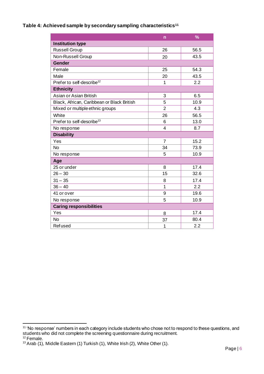#### <span id="page-5-0"></span>**Table 4: Achieved sample by secondary sampling characteristics<sup>11</sup>**

|                                            | n              | $\frac{9}{6}$ |  |
|--------------------------------------------|----------------|---------------|--|
| <b>Institution type</b>                    |                |               |  |
| <b>Russell Group</b>                       | 26             | 56.5          |  |
| Non-Russell Group                          | 20             | 43.5          |  |
| <b>Gender</b>                              |                |               |  |
| Female                                     | 25             | 54.3          |  |
| Male                                       | 20             | 43.5          |  |
| Prefer to self-describe <sup>12</sup>      | 1              | 2.2           |  |
| <b>Ethnicity</b>                           |                |               |  |
| Asian or Asian British                     | 3              | 6.5           |  |
| Black, African, Caribbean or Black British | 5              | 10.9          |  |
| Mixed or multiple ethnic groups            | $\overline{2}$ | 4.3           |  |
| White                                      | 26             | 56.5          |  |
| Prefer to self-describe <sup>13</sup>      | 6              | 13.0          |  |
| No response                                | $\overline{4}$ | 8.7           |  |
| <b>Disability</b>                          |                |               |  |
| Yes                                        | $\overline{7}$ | 15.2          |  |
| <b>No</b>                                  | 34             | 73.9          |  |
| No response                                | 5              | 10.9          |  |
| Age                                        |                |               |  |
| 25 or under                                | 8              | 17.4          |  |
| $26 - 30$                                  | 15             | 32.6          |  |
| $31 - 35$                                  | 8              | 17.4          |  |
| $36 - 40$                                  | 1              | 2.2           |  |
| 41 or over                                 | 9              | 19.6          |  |
| No response                                | 5              | 10.9          |  |
| <b>Caring responsibilities</b>             |                |               |  |
| Yes                                        | 8              | 17.4          |  |
| <b>No</b>                                  | 37             | 80.4          |  |
| <b>Refused</b>                             | 1              | 2.2           |  |

<sup>&</sup>lt;sup>11</sup> 'No response' numbers in each category include students who chose not to respond to these questions, and students who did not complete the screening questionnaire during recruitment.

<sup>&</sup>lt;sup>12</sup> Female.

 $13$  Arab (1), Middle Eastern (1) Turkish (1), White Irish (2), White Other (1).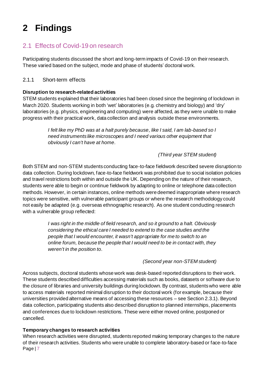# <span id="page-6-0"></span>**2 Findings**

# <span id="page-6-1"></span>2.1 Effects of Covid-19 on research

Participating students discussed the short and long-term impacts of Covid-19 on their research. These varied based on the subject, mode and phase of students' doctoral work.

#### <span id="page-6-2"></span>2.1.1 Short-term effects

#### **Disruption to research-related activities**

STEM students explained that their laboratories had been closed since the beginning of lockdown in March 2020. Students working in both 'wet' laboratories (e.g. chemistry and biology) and 'dry' laboratories (e.g. physics, engineering and computing) were affected, as they were unable to make progress with their practical work, data collection and analysis outside these environments.

> *I felt like my PhD was at a halt purely because, like I said, I am lab-based so I need instruments like microscopes and I need various other equipment that obviously I can't have at home.*

> > *(Third year STEM student)*

Both STEM and non-STEM students conducting face-to-face fieldwork described severe disruption to data collection. During lockdown, face-to-face fieldwork was prohibited due to social isolation policies and travel restrictions both within and outside the UK. Depending on the nature of their research, students were able to begin or continue fieldwork by adapting to online or telephone data collection methods. However, in certain instances, online methods were deemed inappropriate where research topics were sensitive, with vulnerable participant groups or where the research methodology could not easily be adapted (e.g. overseas ethnographic research). As one student conducting research with a vulnerable group reflected:

> *I was right in the middle of field research, and so it ground to a halt. Obviously considering the ethical care I needed to extend to the case studies and the people that I would encounter, it wasn't appropriate for me to switch to an online forum, because the people that I would need to be in contact with, they weren't in the position to.*

#### *(Second year non-STEM student)*

Across subjects, doctoral students whose work was desk-based reported disruptions to their work. These students described difficulties accessing materials such as books, datasets or software due to the closure of libraries and university buildings during lockdown. By contrast, students who were able to access materials reported minimal disruption to their doctoral work (for example, because their universities provided alternative means of accessing these resources – see Section 2.3.1). Beyond data collection, participating students also described disruption to planned internships, placements and conferences due to lockdown restrictions. These were either moved online, postponed or cancelled.

#### **Temporary changes to research activities**

Page | 7 When research activities were disrupted, students reported making temporary changes to the nature of their research activities. Students who were unable to complete laboratory-based or face-to-face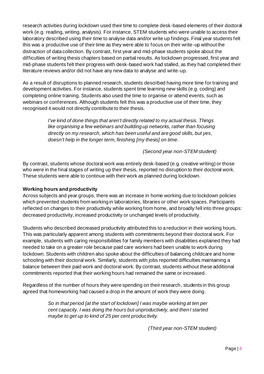research activities during lockdown used their time to complete desk-based elements of their doctoral work (e.g. reading, writing, analysis). For instance, STEM students who were unable to access their laboratory described using their time to analyse data and/or write up findings. Final year students felt this was a productive use of their time as they were able to focus on their write-up without the distraction of data collection. By contrast, first year and mid-phase students spoke about the difficulties of writing thesis chapters based on partial results. As lockdown progressed, first year and mid-phase students felt their progress with desk-based work had stalled, as they had completed their literature reviews and/or did not have any new data to analyse and write-up.

As a result of disruptions to planned research, students described having more time for training and development activities. For instance, students spent time learning new skills (e.g. coding) and completing online training. Students also used the time to organise or attend events, such as webinars or conferences. Although students felt this was a productive use of their time, they recognised it would not directly contribute to their thesis.

> *I've kind of done things that aren't directly related to my actual thesis. Things like organising a few webinars and building up networks, rather than focusing directly on my research, which has been useful and are good skills, but yes, doesn't help in the longer term, finishing [my thesis] on time.*

> > *(Second year non-STEM student)*

By contrast, students whose doctoral work was entirely desk-based (e.g. creative writing) or those who were in the final stages of writing up their thesis, reported no disruption to their doctoral work. These students were able to continue with their work as planned during lockdown.

#### **Working hours and productivity**

Across subjects and year groups, there was an increase in home working due to lockdown policies which prevented students from working in laboratories, libraries or other work spaces. Participants reflected on changes to their productivity while working from home, and broadly fell into three groups: decreased productivity, increased productivity or unchanged levels of productivity.

Students who described decreased productivity attributed this to a reduction in their working hours. This was particularly apparent among students with commitments beyond their doctoral work. For example, students with caring responsibilities for family members with disabilities explained they had needed to take on a greater role because paid care workers had been unable to work during lockdown. Students with children also spoke about the difficulties of balancing childcare and home schooling with their doctoral work. Similarly, students with jobs reported difficulties maintaining a balance between their paid work and doctoral work. By contrast, students without these additional commitments reported that their working hours had remained the same or increased.

Regardless of the number of hours they were spending on their research, students in this group agreed that homeworking had caused a drop in the amount of work they were doing.

> *So in that period [at the start of lockdown] I was maybe working at ten per cent capacity. I was doing the hours but unproductively, and then I started maybe to get up to kind of 25 per cent productivity.*

> > *(Third year non-STEM student)*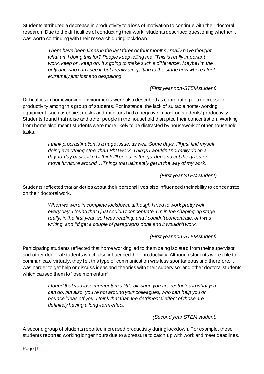Students attributed a decrease in productivity to a loss of motivation to continue with their doctoral research. Due to the difficulties of conducting their work, students described questioning whether it was worth continuing with their research during lockdown.

> *There have been times in the last three or four months I really have thought, what am I doing this for? People keep telling me, 'This is really important work, keep on, keep on. It's going to make such a difference'. Maybe I'm the only one who can't see it, but I really am getting to the stage now where I feel extremely just lost and despairing.*

#### *(First year non-STEM student)*

Difficulties in homeworking environments were also described as contributing to a decrease in productivity among this group of students. For instance, the lack of suitable home-working equipment, such as chairs, desks and monitors had a negative impact on students' productivity. Students found that noise and other people in the household disrupted their concentration. Working from home also meant students were more likely to be distracted by housework or other household tasks.

> *I think procrastination is a huge issue, as well. Some days, I'll just find myself doing everything other than PhD work. Things I wouldn't normally do on a day-to-day basis, like I'll think I'll go out in the garden and cut the grass or move furniture around…Things that ultimately get in the way of my work.*

> > *(First year STEM student)*

Students reflected that anxieties about their personal lives also influenced their ability to concentrate on their doctoral work.

> When we were in complete lockdown, although I tried to work pretty well *every day, I found that I just couldn't concentrate. I'm in the shaping-up stage really, in the first year, so I was reading, and I couldn't concentrate, or I was writing, and I'd get a couple of paragraphs done and it wouldn't work.*

#### *(First year non-STEM student)*

Participating students reflected that home working led to them being isolated from their supervisor and other doctoral students which also influenced their productivity. Although students were able to communicate virtually, they felt this type of communication was less spontaneous and therefore, it was harder to get help or discuss ideas and theories with their supervisor and other doctoral students which caused them to 'lose momentum'.

> *I found that you lose momentum a little bit when you are restricted in what you can do, but also, you're not around your colleagues, who can help you or bounce ideas off you. I think that that, the detrimental effect of those are definitely having a long-term effect.*

#### *(Second year STEM student)*

A second group of students reported increased productivity during lockdown. For example, these students reported working longer hours due to a pressure to catch up with work and meet deadlines.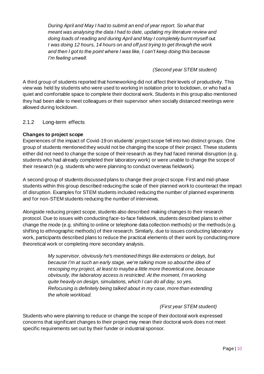*During April and May I had to submit an end of year report. So what that meant was analysing the data I had to date, updating my literature review and doing loads of reading and during April and May I completely burnt myself out. I was doing 12 hours, 14 hours on and off just trying to get through the work and then I got to the point where I was like, I can't keep doing this because I'm feeling unwell.*

*(Second year STEM student)*

A third group of students reported that homeworking did not affect their levels of productivity. This view was held by students who were used to working in isolation prior to lockdown, or who had a quiet and comfortable space to complete their doctoral work. Students in this group also mentioned they had been able to meet colleagues or their supervisor when socially distanced meetings were allowed during lockdown.

#### <span id="page-9-0"></span>2.1.2 Long-term effects

#### **Changes to project scope**

Experiences of the impact of Covid-19 on students' project scope fell into two distinct groups. One group of students mentioned they would not be changing the scope of their project. These students either did not need to change the scope of their research as they had faced minimal disruption (e.g. students who had already completed their laboratory work) or were unable to change the scope of their research (e.g. students who were planning to conduct overseas fieldwork).

A second group of students discussed plans to change their project scope. First and mid-phase students within this group described reducing the scale of their planned work to counteract the impact of disruption. Examples for STEM students included reducing the number of planned experiments and for non-STEM students reducing the number of interviews.

Alongside reducing project scope, students also described making changes to their research protocol. Due to issues with conducting face-to-face fieldwork, students described plans to either change the mode (e.g. shifting to online or telephone data collection methods) or the methods (e.g. shifting to ethnographic methods) of their research. Similarly, due to issues conducting laboratory work, participants described plans to reduce the practical elements of their work by conducting more theoretical work or completing more secondary analysis.

> *My supervisor, obviously he's mentioned things like extensions or delays, but because I'm at such an early stage, we're talking more so about the idea of rescoping my project, at least to maybe a little more theoretical one, because obviously, the laboratory access is restricted. At the moment, I'm working quite heavily on design, simulations, which I can do all day, so yes. Refocusing is definitely being talked about in my case, more than extending the whole workload.*

#### *(First year STEM student)*

Students who were planning to reduce or change the scope of their doctoral work expressed concerns that significant changes to their project may mean their doctoral work does not meet specific requirements set out by their funder or industrial sponsor.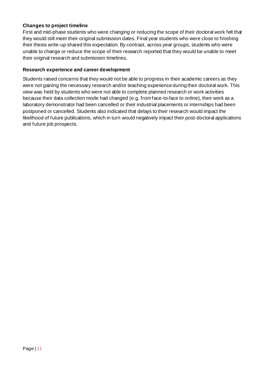#### **Changes to project timeline**

First and mid-phase students who were changing or reducing the scope of their doctoral work felt that they would still meet their original submission dates. Final year students who were close to finishing their thesis write-up shared this expectation. By contrast, across year groups, students who were unable to change or reduce the scope of their research reported that they would be unable to meet their original research and submission timelines.

#### **Research experience and career development**

Students raised concerns that they would not be able to progress in their academic careers as they were not gaining the necessary research and/or teaching experience during their doctoral work. This view was held by students who were not able to complete planned research or work activities because their data collection mode had changed (e.g. from face-to-face to online), their work as a laboratory demonstrator had been cancelled or their industrial placements or internships had been postponed or cancelled. Students also indicated that delays to their research would impact the likelihood of future publications, which in turn would negatively impact their post-doctoral applications and future job prospects.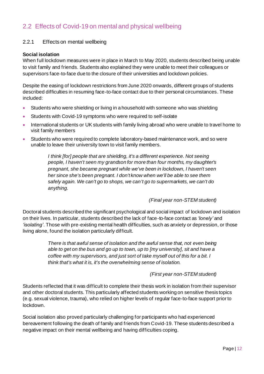### <span id="page-11-0"></span>2.2 Effects of Covid-19 on mental and physical wellbeing

#### <span id="page-11-1"></span>2.2.1 Effects on mental wellbeing

#### **Social isolation**

When full lockdown measures were in place in March to May 2020, students described being unable to visit family and friends. Students also explained they were unable to meet their colleagues or supervisors face-to-face due to the closure of their universities and lockdown policies.

Despite the easing of lockdown restrictions from June 2020 onwards, different groups of students described difficulties in resuming face-to-face contact due to their personal circumstances. These included:

- Students who were shielding or living in a household with someone who was shielding
- Students with Covid-19 symptoms who were required to self-isolate
- International students or UK students with family living abroad who were unable to travel home to visit family members
- Students who were required to complete laboratory-based maintenance work, and so were unable to leave their university town to visit family members.

*I think [for] people that are shielding, it's a different experience. Not seeing people, I haven't seen my grandson for more than four months, my daughter's pregnant, she became pregnant while we've been in lockdown, I haven't seen her since she's been pregnant. I don't know when we'll be able to see them safely again. We can't go to shops, we can't go to supermarkets, we can't do anything.*

#### *(Final year non-STEM student)*

Doctoral students described the significant psychological and social impact of lockdown and isolation on their lives. In particular, students described the lack of face-to-face contact as *'lonely'* and *'isolating'*. Those with pre-existing mental health difficulties, such as anxiety or depression, or those living alone, found the isolation particularly difficult.

> *There is that awful sense of isolation and the awful sense that, not even being able to get on the bus and go up to town, up to [my university], sit and have a coffee with my supervisors, and just sort of take myself out of this for a bit. I think that's what it is, it's the overwhelming sense of isolation.*

#### *(First year non-STEM student)*

Students reflected that it was difficult to complete their thesis work in isolation from their supervisor and other doctoral students. This particularly affected students working on sensitive thesis topics (e.g. sexual violence, trauma), who relied on higher levels of regular face-to-face support prior to lockdown.

Social isolation also proved particularly challenging for participants who had experienced bereavement following the death of family and friends from Covid-19. These students described a negative impact on their mental wellbeing and having difficulties coping.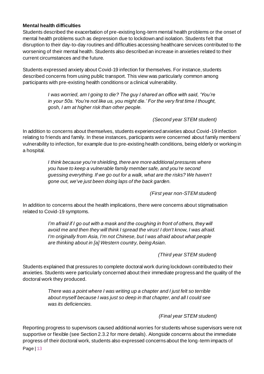#### **Mental health difficulties**

Students described the exacerbation of pre-existing long-term mental health problems or the onset of mental health problems such as depression due to lockdown and isolation. Students felt that disruption to their day-to-day routines and difficulties accessing healthcare services contributed to the worsening of their mental health. Students also described an increase in anxieties related to their current circumstances and the future.

Students expressed anxiety about Covid-19 infection for themselves. For instance, students described concerns from using public transport. This view was particularly common among participants with pre-existing health conditions or a clinical vulnerability.

> *I was worried, am I going to die? The guy I shared an office with said, 'You're in your 50s. You're not like us, you might die.' For the very first time I thought, gosh, I am at higher risk than other people.*

> > *(Second year STEM student)*

In addition to concerns about themselves, students experienced anxieties about Covid-19 infection relating to friends and family. In these instances, participants were concerned about family members' vulnerability to infection, for example due to pre-existing health conditions, being elderly or working in a hospital.

> *I think because you're shielding, there are more additional pressures where you have to keep a vulnerable family member safe, and you're second guessing everything. If we go out for a walk, what are the risks? We haven't gone out, we've just been doing laps of the back garden.*

> > *(First year non-STEM student)*

In addition to concerns about the health implications, there were concerns about stigmatisation related to Covid-19 symptoms.

> *I'm afraid if I go out with a mask and the coughing in front of others, they will avoid me and then they will think I spread the virus! I don't know, I was afraid. I'm originally from Asia, I'm not Chinese, but I was afraid about what people are thinking about in [a] Western country, being Asian.*

> > *(Third year STEM student)*

Students explained that pressures to complete doctoral work during lockdown contributed to their anxieties. Students were particularly concerned about their immediate progress and the quality of the doctoral work they produced.

> *There was a point where I was writing up a chapter and I just felt so terrible about myself because I was just so deep in that chapter, and all I could see was its deficiencies.*

> > *(Final year STEM student)*

Page | 13 Reporting progress to supervisors caused additional worries for students whose supervisors were not supportive or flexible (see Section 2.3.2 for more details). Alongside concerns about the immediate progress of their doctoral work, students also expressed concerns about the long-term impacts of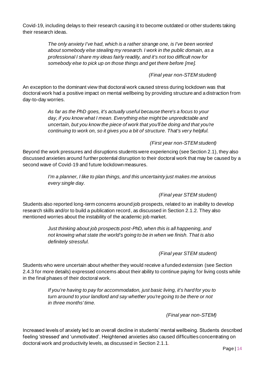Covid-19, including delays to their research causing it to become outdated or other students taking their research ideas.

> *The only anxiety I've had, which is a rather strange one, is I've been worried about somebody else stealing my research. I work in the public domain, as a professional I share my ideas fairly readily, and it's not too difficult now for somebody else to pick up on those things and get there before [me].*

#### *(Final year non-STEM student)*

An exception to the dominant view that doctoral work caused stress during lockdown was that doctoral work had a positive impact on mental wellbeing by providing structure and a distraction from day-to-day worries.

> *As far as the PhD goes, it's actually useful because there's a focus to your day, if you know what I mean. Everything else might be unpredictable and uncertain, but you know the piece of work that you'll be doing and that you're continuing to work on, so it gives you a bit of structure. That's very helpful.*

#### *(First year non-STEM student)*

Beyond the work pressures and disruptions students were experiencing (see Section 2.1), they also discussed anxieties around further potential disruption to their doctoral work that may be caused by a second wave of Covid-19 and future lockdown measures.

> *I'm a planner, I like to plan things, and this uncertainty just makes me anxious every single day.*

> > *(Final year STEM student)*

Students also reported long-term concerns around job prospects, related to an inability to develop research skills and/or to build a publication record, as discussed in Section 2.1.2. They also mentioned worries about the instability of the academic job market.

> *Just thinking about job prospects post-PhD, when this is all happening, and not knowing what state the world's going to be in when we finish. That is also definitely stressful.*

> > *(Final year STEM student)*

Students who were uncertain about whether they would receive a funded extension (see Section 2.4.3 for more details) expressed concerns about their ability to continue paying for living costs while in the final phases of their doctoral work.

> *If you're having to pay for accommodation, just basic living, it's hard for you to turn around to your landlord and say whether you're going to be there or not in three months' time.*

> > *(Final year non-STEM)*

Increased levels of anxiety led to an overall decline in students' mental wellbeing. Students described feeling 'stressed' and 'unmotivated'. Heightened anxieties also caused difficulties concentrating on doctoral work and productivity levels, as discussed in Section 2.1.1.

Page | 14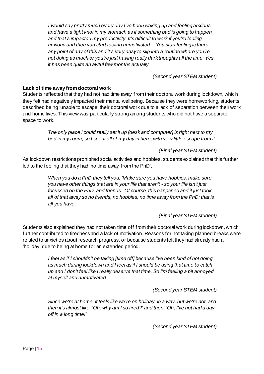*I would say pretty much every day I've been waking up and feeling anxious and have a tight knot in my stomach as if something bad is going to happen and that's impacted my productivity. It's difficult to work if you're feeling anxious and then you start feeling unmotivated… You start feeling is there any point of any of this and it's very easy to slip into a routine where you're not doing as much or you're just having really dark thoughts all the time. Yes, it has been quite an awful few months actually.*

*(Second year STEM student)*

#### **Lack of time away from doctoral work**

Students reflected that they had not had time away from their doctoral work during lockdown, which they felt had negatively impacted their mental wellbeing. Because they were homeworking, students described being 'unable to escape' their doctoral work due to a lack of separation between their work and home lives. This view was particularly strong among students who did not have a separate space to work.

> *The only place I could really set it up [desk and computer] is right next to my bed in my room, so I spent all of my day in here, with very little escape from it.*

> > *(Final year STEM student)*

As lockdown restrictions prohibited social activities and hobbies, students explained that this further led to the feeling that they had 'no time away from the PhD'.

> *When you do a PhD they tell you, 'Make sure you have hobbies, make sure you have other things that are in your life that aren't - so your life isn't just focussed on the PhD, and friends.' Of course, this happened and it just took all of that away so no friends, no hobbies, no time away from the PhD; that is all you have.*

> > *(Final year STEM student)*

Students also explained they had not taken time off from their doctoral work during lockdown, which further contributed to tiredness and a lack of motivation. Reasons for not taking planned breaks were related to anxieties about research progress, or because students felt they had already had a 'holiday' due to being at home for an extended period.

> *I feel as if I shouldn't be taking [time off] because I've been kind of not doing as much during lockdown and I feel as if I should be using that time to catch up and I don't feel like I really deserve that time. So I'm feeling a bit annoyed at myself and unmotivated.*

> > *(Second year STEM student)*

*Since we're at home, it feels like we're on holiday, in a way, but we're not, and then it's almost like, 'Oh, why am I so tired?' and then, 'Oh, I've not had a day off in a long time!'*

*(Second year STEM student)*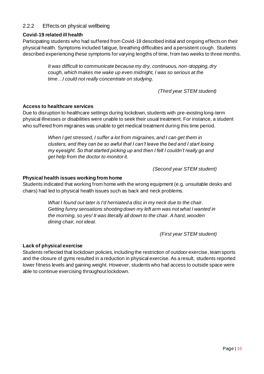#### <span id="page-15-0"></span>2.2.2 Effects on physical wellbeing

#### **Covid-19 related ill health**

Participating students who had suffered from Covid-19 described initial and ongoing effects on their physical health. Symptoms included fatigue, breathing difficulties and a persistent cough. Students described experiencing these symptoms for varying lengths of time, from two weeks to three months.

> *It was difficult to communicate because my dry, continuous, non-stopping, dry cough, which makes me wake up even midnight, I was so serious at the time…I could not really concentrate on studying.*

> > *(Third year STEM student)*

#### **Access to healthcare services**

Due to disruption to healthcare settings during lockdown, students with pre-existing long-term physical illnesses or disabilities were unable to seek their usual treatment. For instance, a student who suffered from migraines was unable to get medical treatment during this time period.

> *When I get stressed, I suffer a lot from migraines, and I can get them in clusters, and they can be so awful that I can't leave the bed and I start losing my eyesight. So that started picking up and then I felt I couldn't really go and get help from the doctor to monitor it.*

> > *(Second year STEM student)*

#### **Physical health issues working from home**

Students indicated that working from home with the wrong equipment (e.g. unsuitable desks and chairs) had led to physical health issues such as back and neck problems.

> *What I found out later is I'd herniated a disc in my neck due to the chair. Getting funny sensations shooting down my left arm was not what I wanted in the morning, so yes! It was literally all down to the chair. A hard, wooden dining chair, not ideal.*

> > *(First year STEM student)*

#### **Lack of physical exercise**

Students reflected that lockdown policies, including the restriction of outdoor exercise, team sports and the closure of gyms resulted in a reduction in physical exercise. As a result, students reported lower fitness levels and gaining weight. However, students who had access to outside space were able to continue exercising throughout lockdown.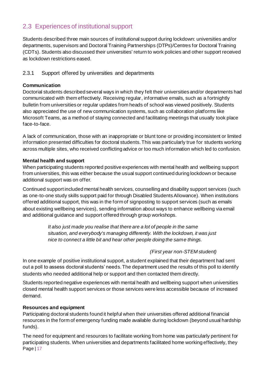# <span id="page-16-0"></span>2.3 Experiences of institutional support

Students described three main sources of institutional support during lockdown: universities and/or departments, supervisors and Doctoral Training Partnerships (DTPs)/Centres for Doctoral Training (CDTs). Students also discussed their universities' return to work policies and other support received as lockdown restrictions eased.

#### <span id="page-16-1"></span>2.3.1 Support offered by universities and departments

#### **Communication**

Doctorial students described several ways in which they felt their universities and/or departments had communicated with them effectively. Receiving regular, informative emails, such as a fortnightly bulletin from universities or regular updates from heads of school was viewed positively. Students also appreciated the use of new communication systems, such as collaboration platforms like Microsoft Teams, as a method of staying connected and facilitating meetings that usually took place face-to-face.

A lack of communication, those with an inappropriate or blunt tone or providing inconsistent or limited information presented difficulties for doctoral students. This was particularly true for students working across multiple sites, who received conflicting advice or too much information which led to confusion.

#### **Mental health and support**

When participating students reported positive experiences with mental health and wellbeing support from universities, this was either because the usual support continued during lockdown or because additional support was on offer.

Continued support included mental health services, counselling and disability support services (such as one-to-one study skills support paid for through Disabled Students Allowance). When institutions offered additional support, this was in the form of signposting to support services (such as emails about existing wellbeing services), sending information about ways to enhance wellbeing via email and additional guidance and support offered through group workshops.

> *It also just made you realise that there are a lot of people in the same situation, and everybody's managing differently. With the lockdown, it was just nice to connect a little bit and hear other people doing the same things.*

#### *(First year non-STEM student)*

In one example of positive institutional support, a student explained that their department had sent out a poll to assess doctoral students' needs. The department used the results of this poll to identify students who needed additional help or support and then contacted them directly.

Students reported negative experiences with mental health and wellbeing support when universities closed mental health support services or those services were less accessible because of increased demand.

#### **Resources and equipment**

Participating doctoral students found it helpful when their universities offered additional financial resources in the form of emergency funding made available during lockdown (beyond usual hardship funds).

Page | 17 The need for equipment and resources to facilitate working from home was particularly pertinent for participating students. When universities and departments facilitated home working effectively, they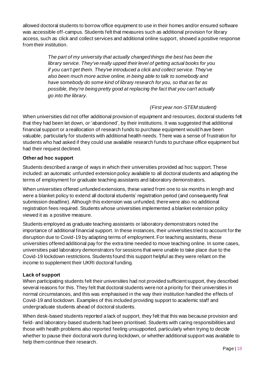allowed doctoral students to borrow office equipment to use in their homes and/or ensured software was accessible off-campus. Students felt that measures such as additional provision for library access, such as click and collect services and additional online support, showed a positive response from their institution.

> *The part of my university that actually changed things the best has been the library service. They've really upped their level of getting actual books for you if you can't get them. They've introduced a click and collect service. They've also been much more active online, in being able to talk to somebody and have somebody do some kind of library research for you, so that as far as possible, they're being pretty good at replacing the fact that you can't actually go into the library.*

#### *(First year non-STEM student)*

When universities did not offer additional provision of equipment and resources, doctoral students felt that they had been let down, or 'abandoned', by their institutions. It was suggested that additional financial support or a reallocation of research funds to purchase equipment would have been valuable, particularly for students with additional health needs. There was a sense of frustration for students who had asked if they could use available research funds to purchase office equipment but had their request declined.

#### **Other ad hoc support**

Students described a range of ways in which their universities provided ad hoc support. These included: an automatic unfunded extension policy available to all doctoral students and adapting the terms of employment for graduate teaching assistants and laboratory demonstrators.

When universities offered unfunded extensions, these varied from one to six months in length and were a blanket policy to extend all doctoral students' registration period (and consequently final submission deadline). Although this extension was unfunded, there were also no additional registration fees required. Students whose universities implemented a blanket extension policy viewed it as a positive measure.

Students employed as graduate teaching assistants or laboratory demonstrators noted the importance of additional financial support. In these instances, their universities tried to account for the disruption due to Covid-19 by adapting terms of employment. For teaching assistants, these universities offered additional pay for the extra time needed to move teaching online. In some cases, universities paid laboratory demonstrators for sessions that were unable to take place due to the Covid-19 lockdown restrictions. Students found this support helpful as they were reliant on the income to supplement their UKRI doctoral funding.

#### **Lack of support**

When participating students felt their universities had not provided sufficient support, they described several reasons for this. They felt that doctoral students were not a priority for their universities in normal circumstances, and this was emphasised in the way their institution handled the effects of Covid-19 and lockdown. Examples of this included providing support to academic staff and undergraduate students ahead of doctoral students.

When desk-based students reported a lack of support, they felt that this was because provision and field- and laboratory-based students had been prioritised. Students with caring responsibilities and those with health problems also reported feeling unsupported, particularly when trying to decide whether to pause their doctoral work during lockdown, or whether additional support was available to help them continue their research.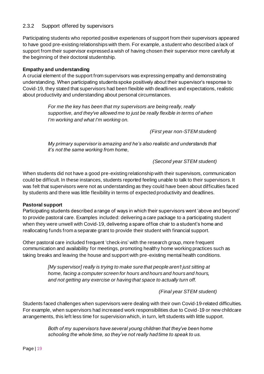#### <span id="page-18-0"></span>2.3.2 Support offered by supervisors

Participating students who reported positive experiences of support from their supervisors appeared to have good pre-existing relationshipswith them. For example, a student who described a lack of support from their supervisor expressed a wish of having chosen their supervisor more carefully at the beginning of their doctoral studentship.

#### **Empathy and understanding**

A crucial element of the support from supervisors was expressing empathy and demonstrating understanding. When participating students spoke positively about their supervisor's response to Covid-19, they stated that supervisors had been flexible with deadlines and expectations, realistic about productivity and understanding about personal circumstances.

> *For me the key has been that my supervisors are being really, really supportive, and they've allowed me to just be really flexible in terms of when I'm working and what I'm working on.*

> > *(First year non-STEM student)*

*My primary supervisor is amazing and he's also realistic and understands that it's not the same working from home,*

#### *(Second year STEM student)*

When students did not have a good pre-existing relationship with their supervisors, communication could be difficult. In these instances, students reported feeling unable to talk to their supervisors. It was felt that supervisors were not as understanding as they could have been about difficulties faced by students and there was little flexibility in terms of expected productivity and deadlines.

#### **Pastoral support**

Participating students described a range of ways in which their supervisors went 'above and beyond' to provide pastoral care. Examples included: delivering a care package to a participating student when they were unwell with Covid-19, delivering a spare office chair to a student's home and reallocating funds from a separate grant to provide their student with financial support.

Other pastoral care included frequent 'check-ins' with the research group, more frequent communication and availability for meetings, promoting healthy home working practices such as taking breaks and leaving the house and support with pre-existing mental health conditions.

> *[My supervisor] really is trying to make sure that people aren't just sitting at home, facing a computer screen for hours and hours and hours and hours, and not getting any exercise or having that space to actually turn off.*

> > *(Final year STEM student)*

Students faced challenges when supervisors were dealing with their own Covid-19-related difficulties. For example, when supervisors had increased work responsibilities due to Covid-19 or new childcare arrangements, this left less time for supervision which, in turn, left students with little support.

> *Both of my supervisors have several young children that they've been home schooling the whole time, so they've not really had time to speak to us.*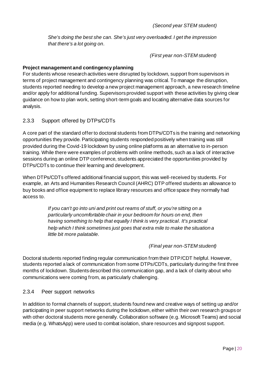*She's doing the best she can. She's just very overloaded. I get the impression that there's a lot going on.*

*(First year non-STEM student)*

#### **Project management and contingency planning**

For students whose research activities were disrupted by lockdown, support from supervisors in terms of project management and contingency planning was critical. To manage the disruption, students reported needing to develop a new project management approach, a new research timeline and/or apply for additional funding. Supervisors provided support with these activities by giving clear guidance on how to plan work, setting short-term goals and locating alternative data sources for analysis.

#### <span id="page-19-0"></span>2.3.3 Support offered by DTPs/CDTs

A core part of the standard offer to doctoral students from DTPs/CDTs is the training and networking opportunities they provide. Participating students responded positively when training was still provided during the Covid-19 lockdown by using online platforms as an alternative to in-person training. While there were examples of problems with online methods, such as a lack of interactive sessions during an online DTP conference, students appreciated the opportunities provided by DTPs/CDTs to continue their learning and development.

When DTPs/CDTs offered additional financial support, this was well-received by students. For example, an Arts and Humanities Research Council (AHRC) DTP offered students an allowance to buy books and office equipment to replace library resources and office space they normally had access to.

> *If you can't go into uni and print out reams of stuff, or you're sitting on a particularly uncomfortable chair in your bedroom for hours on end, then having something to help that equally I think is very practical. It's practical help which I think sometimes just goes that extra mile to make the situation a little bit more palatable.*

#### *(Final year non-STEM student)*

Doctoral students reported finding regular communication from their DTP/CDT helpful. However, students reported a lack of communication from some DTPs/CDTs, particularly during the first three months of lockdown. Students described this communication gap, and a lack of clarity about who communications were coming from, as particularly challenging.

#### <span id="page-19-1"></span>2.3.4 Peer support networks

In addition to formal channels of support, students found new and creative ways of setting up and/or participating in peer support networks during the lockdown, either within their own research groups or with other doctoral students more generally. Collaboration software (e.g. Microsoft Teams) and social media (e.g. WhatsApp) were used to combat isolation, share resources and signpost support.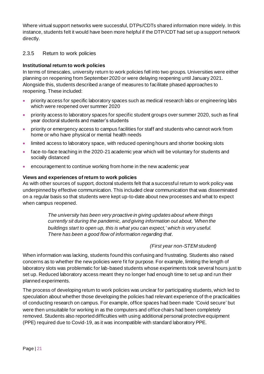Where virtual support networks were successful, DTPs/CDTs shared information more widely. In this instance, students felt it would have been more helpful if the DTP/CDT had set up a support network directly.

#### <span id="page-20-0"></span>2.3.5 Return to work policies

#### **Institutional return to work policies**

In terms of timescales, university return to work policies fell into two groups. Universities were either planning on reopening from September 2020 or were delaying reopening until January 2021. Alongside this, students described a range of measures to facilitate phased approaches to reopening. These included:

- priority access for specific laboratory spaces such as medical research labs or engineering labs which were reopened over summer 2020
- priority access to laboratory spaces for specific student groups over summer 2020, such as final year doctoral students and master's students
- priority or emergency access to campus facilities for staff and students who cannot work from home or who have physical or mental health needs
- limited access to laboratory space, with reduced opening hours and shorter booking slots
- face-to-face teaching in the 2020-21 academic year which will be voluntary for students and socially distanced
- encouragement to continue working from home in the new academic year

#### **Views and experiences of return to work policies**

As with other sources of support, doctoral students felt that a successful return to work policy was underpinned by effective communication. This included clear communication that was disseminated on a regular basis so that students were kept up-to-date about new processes and what to expect when campus reopened.

> *The university has been very proactive in giving updates about where things currently sit during the pandemic, and giving information out about, 'When the buildings start to open up, this is what you can expect,' which is very useful. There has been a good flow of information regarding that.*

#### *(First year non-STEM student)*

When information was lacking, students found this confusing and frustrating. Students also raised concerns as to whether the new policies were fit for purpose. For example, limiting the length of laboratory slots was problematic for lab-based students whose experiments took several hours just to set up. Reduced laboratory access meant they no longer had enough time to set up and run their planned experiments.

The process of developing return to work policies was unclear for participating students, which led to speculation about whether those developing the policies had relevant experience of the practicalities of conducting research on campus. For example, office spaces had been made 'Covid secure' but were then unsuitable for working in as the computers and office chairs had been completely removed. Students also reported difficulties with using additional personal protective equipment (PPE) required due to Covid-19, as it was incompatible with standard laboratory PPE.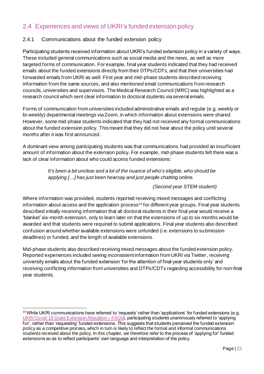# <span id="page-21-0"></span>2.4 Experiences and views of UKRI's funded extension policy

#### <span id="page-21-1"></span>2.4.1 Communications about the funded extension policy

Participating students received information about UKRI's funded extension policy in a variety of ways. These included general communications such as social media and the news, as well as more targeted forms of communication. For example, final year students indicated that they had received emails about the funded extensions directly from their DTPs/CDTs, and that their universities had forwarded emails from UKRI as well. First year and mid-phase students described receiving information from the same sources, and also mentioned email communications from research councils, universities and supervisors. The Medical Research Council (MRC) was highlighted as a research council which sent clear information to doctoral students via several emails.

Forms of communication from universities included administrative emails and regular (e.g. weekly or bi-weekly) departmental meetings via Zoom, in which information about extensions were shared. However, some mid-phase students indicated that they had not received any formal communications about the funded extension policy. This meant that they did not hear about the policy until several months after it was first announced.

A dominant view among participating students was that communications had provided an insufficient amount of information about the extension policy. For example, mid-phase students felt there was a lack of clear information about who could access funded extensions:

> *It's been a bit unclear and a lot of the nuance of who's eligible, who should be applying […] has just been hearsay and just people chatting online.*

#### *(Second year STEM student)*

Where information was provided, students reported receiving mixed messages and conflicting information about access and the application process<sup>14</sup> for different year groups. Final year students described initially receiving information that all doctoral students in their final year would receive a 'blanket' six-month extension, only to learn later on that the extensions of *up to* six months would be awarded and that students were required to submit applications. Final year students also described confusion around whether available extensions were unfunded (i.e. extensions to submission deadlines) or funded, and the length of available extensions.

Mid-phase students also described receiving mixed messages about the funded extension policy. Reported experiences included seeing inconsistent information from UKRI via Twitter, receiving university emails about the funded extension 'for the attention of final year students only' and receiving conflicting information from universities and DTPs/CDTs regarding accessibility for non-final year students.

<sup>&</sup>lt;sup>14</sup> While UKRI communications have referred to 'requests' rather than 'applications' for funded extensions (e.g. [UKRI Covid-19 Grant Extension Allocation –](https://www.ukri.org/files/funding/the-ukri-grant-extension-allocation-external-faqs-final/) FAQs), participating students unanimously referred to 'applying for', rather than 'requesting' funded extensions. This suggests that students perceived the funded extension policy as a competitive process, which in turn is likely to reflect the formal and informal communications students received about the policy. In this chapter, we therefore refer to the process of 'applying for' funded extensions so as to reflect participants' own language and interpretation of the policy.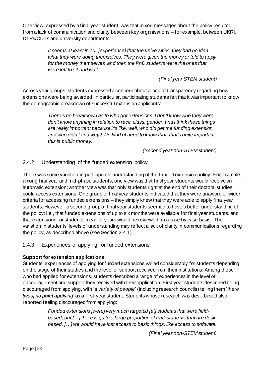One view, expressed by a final year student, was that mixed messages about the policy resulted from a lack of communication and clarity between key organisations – for example, between UKRI, DTPs/CDTs and university departments:

> *It seems at least in our [experience] that the universities, they had no idea what they were doing themselves. They were given the money or told to apply for the money themselves, and then the PhD students were the ones that were left to sit and wait.*

> > *(Final year STEM student)*

Across year groups, students expressed a concern about a lack of transparency regarding how extensions were being awarded; in particular, participating students felt that it was important to know the demographic breakdown of successful extension applicants:

> *There's no breakdown as to who got extensions. I don't know who they were, don't know anything in relation to race, class, gender, and I think these things are really important because it's like, well, who did get the funding extension and who didn't and why? We kind of need to know that, that's quite important, this is public money.*

> > *(Second year non-STEM student)*

#### <span id="page-22-0"></span>2.4.2 Understanding of the funded extension policy

There was some variation in participants' understanding of the funded extension policy. For example, among first year and mid-phase students, one view was that final year students would receive an automatic extension; another view was that only students right at the end of their doctoral studies could access extensions. One group of final year students indicated that they were unaware of wider criteria for accessing funded extensions – they simply knew that they were able to apply final year students. However, a second group of final year students seemed to have a better understanding of the policy: i.e., that funded extensions of up to six months were available for final year students, and that extensions for students in earlier years would be reviewed on a case by case basis. The variation in students' levels of understanding may reflect a lack of clarity in communications regarding the policy, as described above (see Section 2.4.1).

<span id="page-22-1"></span>2.4.3 Experiences of applying for funded extensions

#### **Support for extension applications**

Students' experiences of applying for funded extensions varied considerably for students depending on the stage of their studies and the level of support received from their institutions. Among those who had applied for extensions, students described a range of experiences in the level of encouragement and support they received with their application. First year students described being discouraged from applying, with '*a variety of people*' (including research councils) telling them '*there [was] no point applying*' as a first-year student. Students whose research was desk-based also reported feeling discouraged from applying:

> *Funded extensions [were] very much targeted [at] students that were fieldbased, but […] there is quite a large proportion of PhD students that are deskbased, […] we would have lost access to basic things, like access to software.*

> > *(Final year non-STEM student)*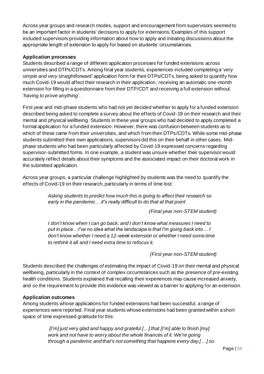Across year groups and research modes, support and encouragement from supervisors seemed to be an important factor in students' decisions to apply for extensions. Examples of this support included supervisors providing information about how to apply and initiating discussions about the appropriate length of extension to apply for based on students' circumstances.

#### **Application processes**

Students described a range of different application processes for funded extensions across universities and DTPs/CDTs. Among final year students, experiences included completing a '*very simple and very straightforward*' application form for their DTPs/CDTs, being asked to quantify how much Covid-19 would affect their research in their application, receiving an automatic one-month extension for filling in a questionnaire from their DTP/CDT and receiving a full extension without '*having to prove anything*'.

First year and mid-phase students who had not yet decided whether to apply for a funded extension described being asked to complete a survey about the effects of Covid-19 on their research and their mental and physical wellbeing. Students in these year groups who had decided to apply completed a formal application for a funded extension. However, there was confusion between students as to which of these came from their universities, and which from their DTPs/CDTs. While some mid-phase students submitted their own applications, supervisors did this on their behalf in other cases. Midphase students who had been particularly affected by Covid-19 expressed concerns regarding supervisor-submitted forms. In one example, a student was unsure whether their supervisor would accurately reflect details about their symptoms and the associated impact on their doctoral work in the submitted application.

Across year groups, a particular challenge highlighted by students was the need to quantify the effects of Covid-19 on their research, particularly in terms of time lost:

> *Asking students to predict how much this is going to affect their research so early in the pandemic… it's really difficult to do that at that point.*

> > *(Final year non-STEM student)*

*I don't know when I can go back, and I don't know what measures I need to put in place…I've no idea what the landscape is that I'm going back into… I don't know whether I need a 12-week extension or whether I need some time to rethink it all and I need extra time to refocus it.* 

*(First year non-STEM student)*

Students described *the* challenges *of* estimating the impact of Covid-19 on their mental and physical wellbeing, particularly in the context of complex circumstances such as the presence of pre-existing health conditions. Students explained that recalling their experiences may cause increased anxiety, and *so* the requirement to provide *this* evidence was viewed as a barrier to applying for an extension.

#### **Application outcomes**

Among students whose applications for funded extensions had been successful, a range of experiences were reported. Final year students whose extensions had been granted within a short space of time expressed gratitude for this:

> *[I'm] just very glad and happy and grateful […] that [I'm] able to finish [my] work and not have to worry about the whole finances of it. We're going through a pandemic and that's not something that happens every day […] so*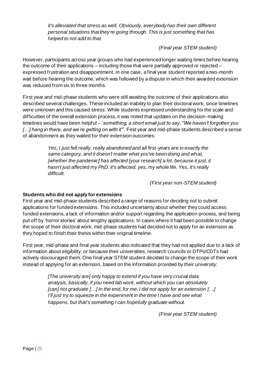*it's alleviated that stress as well. Obviously, everybody has their own different personal situations that they're going through. This is just something that has helped to not add to that.*

*(Final year STEM student)*

However, participants across year groups who had experienced longer waiting times before hearing the outcome of their applications – including those that were partially approved or rejected – expressed frustration and disappointment. In one case, a final year student reported a two-month wait before hearing the outcome, which was followed by a dispute in which their awarded extension was reduced from six to three months.

First year and mid-phase students who were still awaiting the outcome of their applications also described several challenges. These included an inability to plan their doctoral work, since timelines were unknown and this caused stress. While students expressed understanding for the scale and difficulties of the overall extension process, it was noted that updates on the decision-making timelines would have been helpful – '*something, a short email just to say, "We haven't forgotten you […] hang in there, and we're getting on with it"*'. First year and mid-phase students described a sense of abandonment as they waited for their extension outcomes:

> *Yes, I just felt really, really abandoned and all first-years are in exactly the same category, and it doesn't matter what you've been doing and what,*  [whether the pandemic] has affected [your research] a lot, because it just, it *hasn't just affected my PhD, it's affected, yes, my whole life. Yes, it's really difficult.*

> > *(First year non-STEM student)*

#### **Students who did not apply for extensions**

First year and mid-phase students described a range of reasons for deciding not to submit applications for funded extensions. This included uncertainty about whether they could access funded extensions, a lack of information and/or support regarding the application process, and being put off by 'horror stories' about lengthy applications. In cases where it had been possible to change the scope of their doctoral work, mid-phase students had decided not to apply for an extension as they hoped to finish their thesis within their original timeline.

First year, mid-phase and final year students also indicated that they had not applied due to a lack of information about eligibility, or because their universities, research councils or DTPs/CDTs had actively discouraged them. One final year STEM student decided to change the scope of their work instead of applying for an extension, based on the information provided by their university:

> *[The university are] only happy to extend if you have very crucial data analysis, basically, if you need lab work, without which you can absolutely [can] not graduate […] In the end, for me, I did not apply for an extension […] I'll just try to squeeze in the experiment in the time I have and see what happens, but that's something I can hopefully graduate without.*

> > *(Final year STEM student)*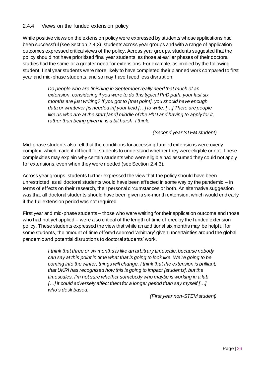#### <span id="page-25-0"></span>2.4.4 Views on the funded extension policy

While positive views on the extension policy were expressed by students whose applications had been successful (see Section 2.4.3), students across year groups and with a range of application outcomes expressed critical views of the policy. Across year groups, students suggested that the policy should not have prioritised final year students, as those at earlier phases of their doctoral studies had the same or a greater need for extensions. For example, as implied by the following student, final year students were more likely to have completed their planned work compared to first year and mid-phase students, and so may have faced less disruption:

> *Do people who are finishing in September really need that much of an extension, considering if you were to do this typical PhD path, your last six months are just writing? If you got to [that point], you should have enough data or whatever [is needed in] your field […] to write. […] There are people like us who are at the start [and] middle of the PhD and having to apply for it, rather than being given it, is a bit harsh, I think.*

> > *(Second year STEM student)*

Mid-phase students also felt that the conditions for accessing funded extensions were overly complex, which made it difficult for students to understand whether they were eligible or not. These complexities may explain why certain students who were eligible had assumed they could not apply for extensions, even when they were needed (see Section 2.4.3).

Across year groups, students further expressed the view that the policy should have been unrestricted, as all doctoral students would have been affected in some way by the pandemic – in terms of effects on their research, their personal circumstances or both. An alternative suggestion was that all doctoral students should have been given a six-month extension, which would end early if the full extension period was not required.

First year and mid-phase students – those who were waiting for their application outcome and those who had not yet applied – were also critical of the length of time offered by the funded extension policy. These students expressed the view that while an additional six months may be helpful for some students, the amount of time offered seemed 'arbitrary' given uncertainties around the global pandemic and potential disruptions to doctoral students' work.

> *I think that three or six months is like an arbitrary timescale, because nobody can say at this point in time what that is going to look like. We're going to be coming into the winter, things will change. I think that the extension is brilliant, that UKRI has recognised how this is going to impact [students], but the timescales, I'm not sure whether somebody who maybe is working in a lab […] it could adversely affect them for a longer period than say myself […] who's desk based.*

> > *(First year non-STEM student)*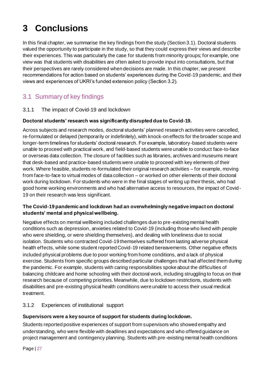# <span id="page-26-0"></span>**3 Conclusions**

In this final chapter, we summarise the key findings from the study (Section 3.1). Doctoral students valued the opportunity to participate in the study, so that they could express their views and describe their experiences. This was particularly the case for students from minority groups; for example, one view was that students with disabilities are often asked to provide input into consultations, but that their perspectives are rarely considered when decisions are made. In this chapter, we present recommendations for action based on students' experiences during the Covid-19 pandemic, and their views and experiences of UKRI's funded extension policy (Section 3.2).

# <span id="page-26-1"></span>3.1 Summary of key findings

#### <span id="page-26-2"></span>3.1.1 The impact of Covid-19 and lockdown

#### **Doctoral students' research was significantly disrupted due to Covid-19.**

Across subjects and research modes, doctoral students' planned research activities were cancelled, re-formulated or delayed (temporarily or indefinitely), with knock-on effects for the broader scope and longer-term timelines for students' doctoral research. For example, laboratory-based students were unable to proceed with practical work, and field-based students were unable to conduct face-to-face or overseas data collection. The closure of facilities such as libraries, archives and museums meant that desk-based and practice-based students were unable to proceed with key elements of their work. Where feasible, students re-formulated their original research activities – for example, moving from face-to-face to virtual modes of data collection – or worked on other elements of their doctoral work during lockdown. For students who were in the final stages of writing up their thesis, who had good home working environments and who had alternative access to resources, the impact of Covid - 19 on their research was less significant.

#### **The Covid-19 pandemic and lockdown had an overwhelmingly negative impact on doctoral students' mental and physical wellbeing.**

Negative effects on mental wellbeing included challenges due to pre-existing mental health conditions such as depression, anxieties related to Covid-19 (including those who lived with people who were shielding, or were shielding themselves), and dealing with loneliness due to social isolation. Students who contracted Covid-19 themselves suffered from lasting adverse physical health effects, while some student reported Covid-19 related bereavements. Other negative effects included physical problems due to poor working from home conditions, and a lack of physical exercise. Students from specific groups described particular challenges that had affected them during the pandemic. For example, students with caring responsibilities spoke about the difficulties of balancing childcare and home schooling with their doctoral work, including struggling to focus on their research because of competing priorities. Meanwhile, due to lockdown restrictions, students with disabilities and pre-existing physical health conditions were unable to access their usual medical treatment.

#### <span id="page-26-3"></span>3.1.2 Experiences of institutional support

#### **Supervisors were a key source of support for students during lockdown.**

Students reported positive experiences of support from supervisors who showed empathy and understanding, who were flexible with deadlines and expectations and who offered guidance on project management and contingency planning. Students with pre-existing mental health conditions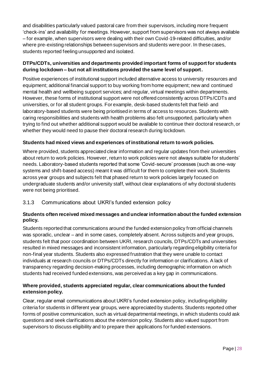and disabilities particularly valued pastoral care from their supervisors, including more frequent 'check-ins' and availability for meetings. However, support from supervisors was not always available – for example, when supervisors were dealing with their own Covid-19-related difficulties, and/or where pre-existing relationships between supervisors and students were poor. In these cases, students reported feeling unsupported and isolated.

#### **DTPs/CDTs, universities and departments provided important forms of support for students during lockdown – but not all institutions provided the same level of support.**

Positive experiences of institutional support included alternative access to university resources and equipment; additional financial support to buy working from home equipment; new and continued mental health and wellbeing support services; and regular, virtual meetings within departments. However, these forms of institutional support were not offered consistently across DTPs/CDTs and universities, or for all student groups. For example, desk-based students felt that field- and laboratory-based students were being prioritised in terms of access to resources. Students with caring responsibilities and students with health problems also felt unsupported, particularly when trying to find out whether additional support would be available to continue their doctoral research, or whether they would need to pause their doctoral research during lockdown.

#### **Students had mixed views and experiences of institutional return to work policies.**

Where provided, students appreciated clear information and regular updates from their universities about return to work policies. However, return to work policies were not always suitable for students' needs. Laboratory-based students reported that some 'Covid-secure' processes (such as one-way systems and shift-based access) meant it was difficult for them to complete their work. Students across year groups and subjects felt that phased return to work policies largely focused on undergraduate students and/or university staff, without clear explanations of why doctoral students were not being prioritised.

<span id="page-27-0"></span>3.1.3 Communications about UKRI's funded extension policy

#### **Students often received mixed messages and unclear information about the funded extension policy.**

Students reported that communications around the funded extension policy from official channels was sporadic, unclear – and in some cases, completely absent. Across subjects and year groups, students felt that poor coordination between UKRI, research councils, DTPs/CDTs and universities resulted in mixed messages and inconsistent information, particularly regarding eligibility criteria for non-final year students. Students also expressed frustration that they were unable to contact individuals at research councils or DTPs/CDTs directly for information or clarifications. A lack of transparency regarding decision-making processes, including demographic information on which students had received funded extensions, was perceived as a key gap in communications.

#### **Where provided, students appreciated regular, clear communications about the funded extension policy.**

Clear, regular email communications about UKRI's funded extension policy, including eligibility criteria for students in different year groups, were appreciated by students. Students reported other forms of positive communication, such as virtual departmental meetings, in which students could ask questions and seek clarifications about the extension policy. Students also valued support from supervisors to discuss eligibility and to prepare their applications for funded extensions.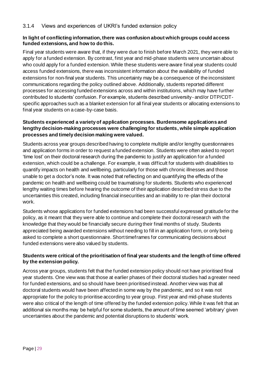#### <span id="page-28-0"></span>**In light of conflicting information, there was confusion about which groups could access funded extensions, and how to do this.**

Final year students were aware that, if they were due to finish before March 2021, they were able to apply for a funded extension. By contrast, first year and mid-phase students were uncertain about who could apply for a funded extension. While these students were aware final year students could access funded extensions, there was inconsistent information about the availability of funded extensions for non-final year students. This uncertainty may be a consequence of the inconsistent communications regarding the policy outlined above. Additionally, students reported different processes for accessing funded extensions across and within institutions, which may have further contributed to students' confusion. For example, students described university- and/or DTP/CDTspecific approaches such as a blanket extension for all final year students or allocating extensions to final year students on a case-by-case basis.

#### **Students experienced a variety of application processes. Burdensome applications and lengthy decision-making processes were challenging for students, while simple application processes and timely decision making were valued.**

Students across year groups described having to complete multiple and/or lengthy questionnaires and application forms in order to request a funded extension. Students were often asked to report 'time lost' on their doctoral research during the pandemic to justify an application for a funded extension, which could be a challenge. For example, it was difficult for students with disabilities to quantify impacts on health and wellbeing, particularly for those with chronic illnesses and those unable to get a doctor's note. It was noted that reflecting on and quantifying the effects of the pandemic on health and wellbeing could be traumatising for students. Students who experienced lengthy waiting times before hearing the outcome of their application described stress due to the uncertainties this created, including financial insecurities and an inability to re-plan their doctoral work.

Students whose applications for funded extensions had been successful expressed gratitude for the policy, as it meant that they were able to continue and complete their doctoral research with the knowledge that they would be financially secure during their final months of study. Students appreciated being awarded extensions without needing to fill in an application form, or only bein g asked to complete a short questionnaire. Short timeframes for communicating decisions about funded extensions were also valued by students.

#### **Students were critical of the prioritisation of final year students and the length of time offered by the extension policy.**

Across year groups, students felt that the funded extension policy should not have prioritised final year students. One view was that those at earlier phases of their doctoral studies had a greater need for funded extensions, and so should have been prioritised instead. Another view was that all doctoral students would have been affected in some way by the pandemic, and so it was not appropriate for the policy to prioritise according to year group. First year and mid-phase students were also critical of the length of time offered by the funded extension policy. While it was felt that an additional six months may be helpful for some students, the amount of time seemed 'arbitrary' given uncertainties about the pandemic and potential disruptions to students' work.